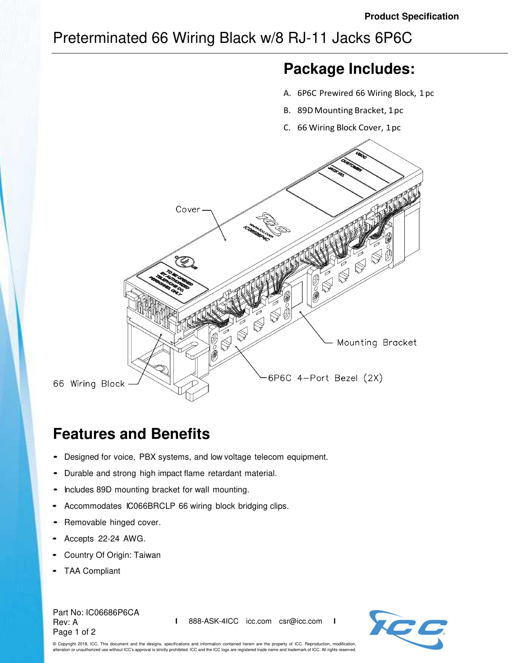## Preterminated 66 Wiring Black w/8 RJ-11 Jacks 6P6C

# **Package Includes:**

- A. 6P6C Prewired 66 Wiring Block, 1 pc
- B. 89D Mounting Bracket, 1 pc
- C. 66 Wiring Block Cover, 1 pc



# **Features and Benefits**

- Designed for voice, PBX systems, and low voltage telecom equipment.
- Durable and strong high impact flame retardant material.
- Includes 89D mounting bracket for wall mounting.
- Accommodates IC066BRCLP 66 wiring block bridging clips.
- Removable hinged cover.
- Accepts 22-24 AWG.
- Country Of Origin: Taiwan
- TAA Compliant

Part No: IC06686P6CA Rev: A Page 1 of 2

**I** 888-ASK-4ICC icc.com csr@icc.com **I**



© Copyright 2018, ICC. This document and the designs, specifications and information contained herein are the property of ICC. Reproduction, modification, n or unauthorized use without ICC's approval is strictly prohibited. ICC and the ICC logo are registered trade name and trademark of ICC. All rights reserved.